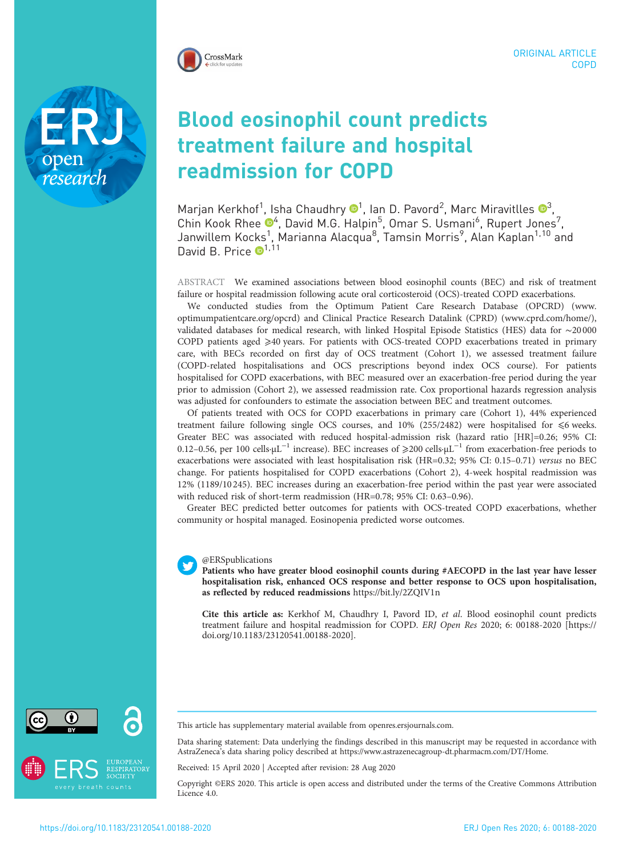

research

# Blood eosinophil count predicts treatment failure and hospital readmission for COPD

Marjan Kerkhof<sup>[1](https://orcid.org/0000-0002-9728-7399)</sup>, Isha Chaudhry  $\mathbf{D}^1$ , Ian D. Pavord<sup>2</sup>, Marc Miravitlles  $\mathbf{D}^3$  $\mathbf{D}^3$ , Chin Kook Rhee  $\mathbb{D}^4$ , David M.G. Halpin<sup>5</sup>, Omar S. Usmani<sup>6</sup>, Rupert Jones<sup>7</sup>, Janwillem Kocks<sup>1</sup>, Marianna Alacqua<sup>8</sup>, Tamsin Morris<sup>9</sup>, Alan Kaplan<sup>1,10</sup> and David B. Price  $\bullet^{1,11}$ 

ABSTRACT We examined associations between blood eosinophil counts (BEC) and risk of treatment failure or hospital readmission following acute oral corticosteroid (OCS)-treated COPD exacerbations.

We conducted studies from the Optimum Patient Care Research Database (OPCRD) ([www.](http://www.optimumpatientcare.org/opcrd) [optimumpatientcare.org/opcrd\)](http://www.optimumpatientcare.org/opcrd) and Clinical Practice Research Datalink (CPRD) ([www.cprd.com/home/\)](http://www.cprd.com/home/), validated databases for medical research, with linked Hospital Episode Statistics (HES) data for ∼20 000 COPD patients aged ≥40 years. For patients with OCS-treated COPD exacerbations treated in primary care, with BECs recorded on first day of OCS treatment (Cohort 1), we assessed treatment failure (COPD-related hospitalisations and OCS prescriptions beyond index OCS course). For patients hospitalised for COPD exacerbations, with BEC measured over an exacerbation-free period during the year prior to admission (Cohort 2), we assessed readmission rate. Cox proportional hazards regression analysis was adjusted for confounders to estimate the association between BEC and treatment outcomes.

Of patients treated with OCS for COPD exacerbations in primary care (Cohort 1), 44% experienced treatment failure following single OCS courses, and  $10\%$  (255/2482) were hospitalised for  $\leq 6$  weeks. Greater BEC was associated with reduced hospital-admission risk (hazard ratio [HR]=0.26; 95% CI: 0.12–0.56, per 100 cells·µL−<sup>1</sup> increase). BEC increases of ⩾200 cells·µL−<sup>1</sup> from exacerbation-free periods to exacerbations were associated with least hospitalisation risk (HR=0.32; 95% CI: 0.15–0.71) versus no BEC change. For patients hospitalised for COPD exacerbations (Cohort 2), 4-week hospital readmission was 12% (1189/10 245). BEC increases during an exacerbation-free period within the past year were associated with reduced risk of short-term readmission (HR=0.78; 95% CI: 0.63–0.96).

Greater BEC predicted better outcomes for patients with OCS-treated COPD exacerbations, whether community or hospital managed. Eosinopenia predicted worse outcomes.

#### @ERSpublications

Patients who have greater blood eosinophil counts during #AECOPD in the last year have lesser hospitalisation risk, enhanced OCS response and better response to OCS upon hospitalisation, as reflected by reduced readmissions <https://bit.ly/2ZQIV1n>

Cite this article as: Kerkhof M, Chaudhry I, Pavord ID, et al. Blood eosinophil count predicts treatment failure and hospital readmission for COPD. ERJ Open Res 2020; 6: 00188-2020 [\[https://](https://doi.org/10.1183/23120541.00188-2020) [doi.org/10.1183/23120541.00188-2020\].](https://doi.org/10.1183/23120541.00188-2020)



This article has supplementary material available from [openres.ersjournals.com.](openres.ersjournals.com)

Data sharing statement: Data underlying the findings described in this manuscript may be requested in accordance with AstraZeneca's data sharing policy described at<https://www.astrazenecagroup-dt.pharmacm.com/DT/Home>.

Received: 15 April 2020 | Accepted after revision: 28 Aug 2020

Copyright ©ERS 2020. This article is open access and distributed under the terms of the Creative Commons Attribution Licence 4.0.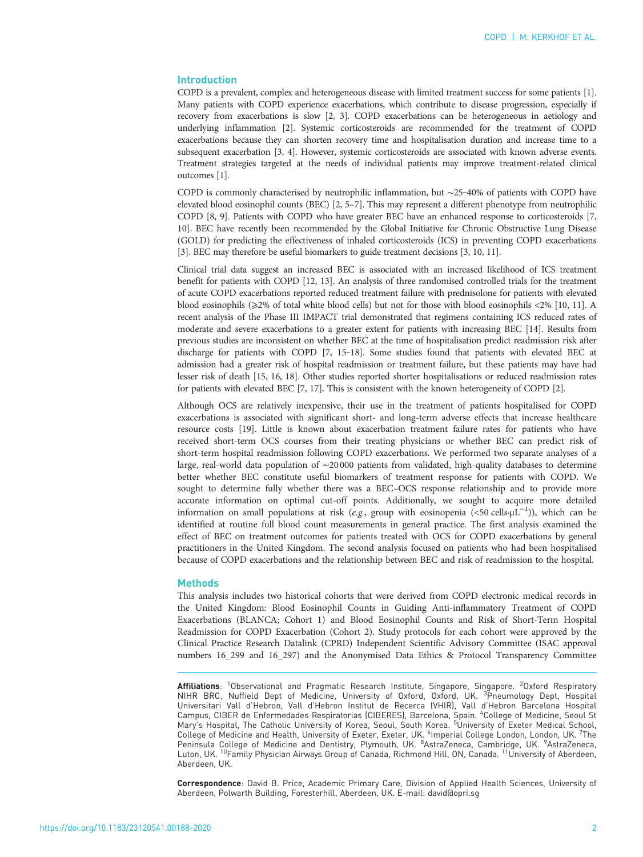# Introduction

COPD is a prevalent, complex and heterogeneous disease with limited treatment success for some patients [[1\]](#page-10-0). Many patients with COPD experience exacerbations, which contribute to disease progression, especially if recovery from exacerbations is slow [\[2](#page-10-0), [3](#page-10-0)]. COPD exacerbations can be heterogeneous in aetiology and underlying inflammation [[2\]](#page-10-0). Systemic corticosteroids are recommended for the treatment of COPD exacerbations because they can shorten recovery time and hospitalisation duration and increase time to a subsequent exacerbation [\[3](#page-10-0), [4\]](#page-10-0). However, systemic corticosteroids are associated with known adverse events. Treatment strategies targeted at the needs of individual patients may improve treatment-related clinical outcomes [[1\]](#page-10-0).

COPD is commonly characterised by neutrophilic inflammation, but ~25-40% of patients with COPD have elevated blood eosinophil counts (BEC) [[2](#page-10-0), [5](#page-10-0)–[7\]](#page-10-0). This may represent a different phenotype from neutrophilic COPD [\[8, 9\]](#page-10-0). Patients with COPD who have greater BEC have an enhanced response to corticosteroids [[7,](#page-10-0) [10\]](#page-10-0). BEC have recently been recommended by the Global Initiative for Chronic Obstructive Lung Disease (GOLD) for predicting the effectiveness of inhaled corticosteroids (ICS) in preventing COPD exacerbations [\[3\]](#page-10-0). BEC may therefore be useful biomarkers to guide treatment decisions [[3, 10, 11](#page-10-0)].

Clinical trial data suggest an increased BEC is associated with an increased likelihood of ICS treatment benefit for patients with COPD [\[12, 13](#page-10-0)]. An analysis of three randomised controlled trials for the treatment of acute COPD exacerbations reported reduced treatment failure with prednisolone for patients with elevated blood eosinophils (⩾2% of total white blood cells) but not for those with blood eosinophils <2% [\[10](#page-10-0), [11\]](#page-10-0). A recent analysis of the Phase III IMPACT trial demonstrated that regimens containing ICS reduced rates of moderate and severe exacerbations to a greater extent for patients with increasing BEC [\[14\]](#page-10-0). Results from previous studies are inconsistent on whether BEC at the time of hospitalisation predict readmission risk after discharge for patients with COPD [[7, 15](#page-10-0)-[18](#page-10-0)]. Some studies found that patients with elevated BEC at admission had a greater risk of hospital readmission or treatment failure, but these patients may have had lesser risk of death [[15](#page-10-0), [16](#page-10-0), [18\]](#page-10-0). Other studies reported shorter hospitalisations or reduced readmission rates for patients with elevated BEC [\[7](#page-10-0), [17](#page-10-0)]. This is consistent with the known heterogeneity of COPD [[2](#page-10-0)].

Although OCS are relatively inexpensive, their use in the treatment of patients hospitalised for COPD exacerbations is associated with significant short- and long-term adverse effects that increase healthcare resource costs [\[19\]](#page-10-0). Little is known about exacerbation treatment failure rates for patients who have received short-term OCS courses from their treating physicians or whether BEC can predict risk of short-term hospital readmission following COPD exacerbations. We performed two separate analyses of a large, real-world data population of ∼20 000 patients from validated, high-quality databases to determine better whether BEC constitute useful biomarkers of treatment response for patients with COPD. We sought to determine fully whether there was a BEC–OCS response relationship and to provide more accurate information on optimal cut-off points. Additionally, we sought to acquire more detailed information on small populations at risk (e.g., group with eosinopenia (<50 cells·µL−<sup>1</sup> )), which can be identified at routine full blood count measurements in general practice. The first analysis examined the effect of BEC on treatment outcomes for patients treated with OCS for COPD exacerbations by general practitioners in the United Kingdom. The second analysis focused on patients who had been hospitalised because of COPD exacerbations and the relationship between BEC and risk of readmission to the hospital.

## **Methods**

This analysis includes two historical cohorts that were derived from COPD electronic medical records in the United Kingdom: Blood Eosinophil Counts in Guiding Anti-inflammatory Treatment of COPD Exacerbations (BLANCA; Cohort 1) and Blood Eosinophil Counts and Risk of Short-Term Hospital Readmission for COPD Exacerbation (Cohort 2). Study protocols for each cohort were approved by the Clinical Practice Research Datalink (CPRD) Independent Scientific Advisory Committee (ISAC approval numbers 16\_299 and 16\_297) and the Anonymised Data Ethics & Protocol Transparency Committee

**Affiliations**: <sup>1</sup>Observational and Pragmatic Research Institute, Singapore, Singapore. <sup>2</sup>Oxford Respiratory<br>NIHR BRC, Nuffield Dept of Medicine, University of Oxford, Oxford, UK. <sup>3</sup>Pneumology Dept, Hospital Universitari Vall d'Hebron, Vall d'Hebron Institut de Recerca (VHIR), Vall d'Hebron Barcelona Hospital Campus, CIBER de Enfermedades Respiratorias (CIBERES), Barcelona, Spain. <sup>4</sup>College of Medicine, Seoul St<br>Mary's Hospital, The Catholic University of Korea, Seoul, South Korea. <sup>5</sup>University of Exeter Medical School, College of Medicine and Health, University of Exeter, Exeter, UK. <sup>6</sup>Imperial College London, London, UK. 7The Peninsula College of Medicine and Dentistry, Plymouth, UK. <sup>8</sup>AstraZeneca, Cambridge, UK. <sup>9</sup>AstraZeneca,<br>Luton, UK. <sup>10</sup>Family Physician Airways Group of Canada, Richmond Hill, ON, Canada. <sup>11</sup>University of Aberdeen, Aberdeen, UK.

Correspondence: David B. Price, Academic Primary Care, Division of Applied Health Sciences, University of Aberdeen, Polwarth Building, Foresterhill, Aberdeen, UK. E-mail: [david@opri.sg](mailto:david@opri.sg)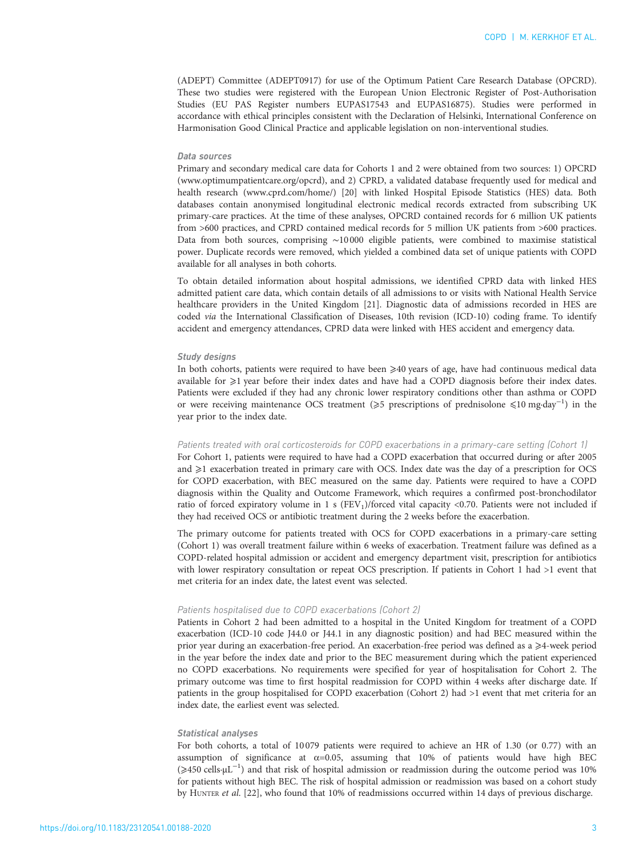(ADEPT) Committee (ADEPT0917) for use of the Optimum Patient Care Research Database (OPCRD). These two studies were registered with the European Union Electronic Register of Post-Authorisation Studies (EU PAS Register numbers EUPAS17543 and EUPAS16875). Studies were performed in accordance with ethical principles consistent with the Declaration of Helsinki, International Conference on Harmonisation Good Clinical Practice and applicable legislation on non-interventional studies.

#### Data sources

Primary and secondary medical care data for Cohorts 1 and 2 were obtained from two sources: 1) OPCRD ([www.optimumpatientcare.org/opcrd](http://www.optimumpatientcare.org/opcrd)), and 2) CPRD, a validated database frequently used for medical and health research [\(www.cprd.com/home/\)](http://www.cprd.com/home/) [\[20](#page-10-0)] with linked Hospital Episode Statistics (HES) data. Both databases contain anonymised longitudinal electronic medical records extracted from subscribing UK primary-care practices. At the time of these analyses, OPCRD contained records for 6 million UK patients from >600 practices, and CPRD contained medical records for 5 million UK patients from >600 practices. Data from both sources, comprising ∼10 000 eligible patients, were combined to maximise statistical power. Duplicate records were removed, which yielded a combined data set of unique patients with COPD available for all analyses in both cohorts.

To obtain detailed information about hospital admissions, we identified CPRD data with linked HES admitted patient care data, which contain details of all admissions to or visits with National Health Service healthcare providers in the United Kingdom [[21\]](#page-10-0). Diagnostic data of admissions recorded in HES are coded via the International Classification of Diseases, 10th revision (ICD-10) coding frame. To identify accident and emergency attendances, CPRD data were linked with HES accident and emergency data.

## Study designs

In both cohorts, patients were required to have been  $\geq$ 40 years of age, have had continuous medical data available for  $\geq 1$  year before their index dates and have had a COPD diagnosis before their index dates. Patients were excluded if they had any chronic lower respiratory conditions other than asthma or COPD or were receiving maintenance OCS treatment (≥5 prescriptions of prednisolone ≤10 mg·day<sup>-1</sup>) in the year prior to the index date.

#### Patients treated with oral corticosteroids for COPD exacerbations in a primary-care setting (Cohort 1)

For Cohort 1, patients were required to have had a COPD exacerbation that occurred during or after 2005 and  $\geqslant$ 1 exacerbation treated in primary care with OCS. Index date was the day of a prescription for OCS for COPD exacerbation, with BEC measured on the same day. Patients were required to have a COPD diagnosis within the Quality and Outcome Framework, which requires a confirmed post-bronchodilator ratio of forced expiratory volume in 1 s (FEV<sub>1</sub>)/forced vital capacity <0.70. Patients were not included if they had received OCS or antibiotic treatment during the 2 weeks before the exacerbation.

The primary outcome for patients treated with OCS for COPD exacerbations in a primary-care setting (Cohort 1) was overall treatment failure within 6 weeks of exacerbation. Treatment failure was defined as a COPD-related hospital admission or accident and emergency department visit, prescription for antibiotics with lower respiratory consultation or repeat OCS prescription. If patients in Cohort 1 had >1 event that met criteria for an index date, the latest event was selected.

### Patients hospitalised due to COPD exacerbations (Cohort 2)

Patients in Cohort 2 had been admitted to a hospital in the United Kingdom for treatment of a COPD exacerbation (ICD-10 code J44.0 or J44.1 in any diagnostic position) and had BEC measured within the prior year during an exacerbation-free period. An exacerbation-free period was defined as a ≥4-week period in the year before the index date and prior to the BEC measurement during which the patient experienced no COPD exacerbations. No requirements were specified for year of hospitalisation for Cohort 2. The primary outcome was time to first hospital readmission for COPD within 4 weeks after discharge date. If patients in the group hospitalised for COPD exacerbation (Cohort 2) had >1 event that met criteria for an index date, the earliest event was selected.

### Statistical analyses

For both cohorts, a total of 10079 patients were required to achieve an HR of 1.30 (or 0.77) with an assumption of significance at  $\alpha$ =0.05, assuming that 10% of patients would have high BEC (≥450 cells·µL<sup>-1</sup>) and that risk of hospital admission or readmission during the outcome period was 10% for patients without high BEC. The risk of hospital admission or readmission was based on a cohort study by HUNTER et al. [[22\]](#page-10-0), who found that 10% of readmissions occurred within 14 days of previous discharge.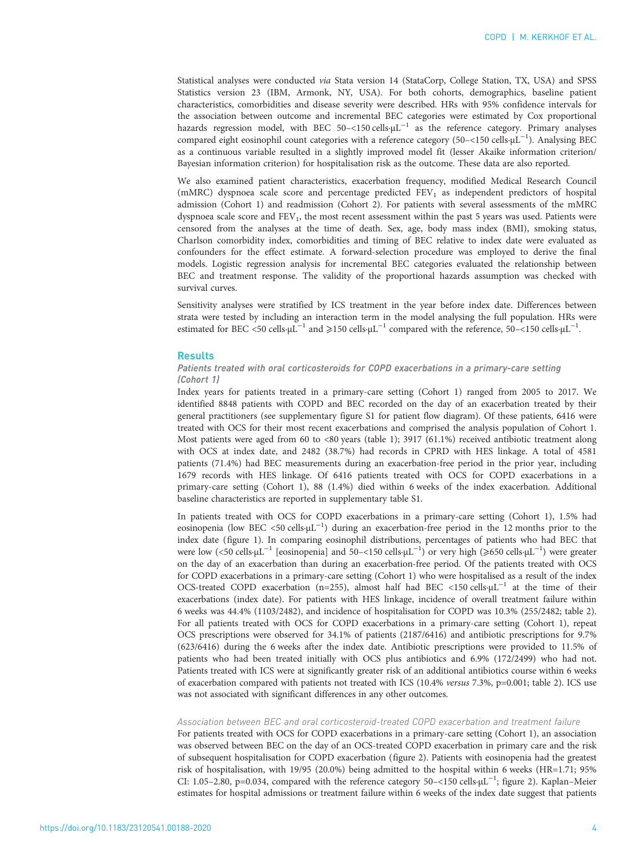Statistical analyses were conducted via Stata version 14 (StataCorp, College Station, TX, USA) and SPSS Statistics version 23 (IBM, Armonk, NY, USA). For both cohorts, demographics, baseline patient characteristics, comorbidities and disease severity were described. HRs with 95% confidence intervals for the association between outcome and incremental BEC categories were estimated by Cox proportional hazards regression model, with BEC 50–<150 cells⋅ $\mu$ L<sup>-1</sup> as the reference category. Primary analyses compared eight eosinophil count categories with a reference category (50-<150 cells·μL<sup>-1</sup>). Analysing BEC as a continuous variable resulted in a slightly improved model fit (lesser Akaike information criterion/ Bayesian information criterion) for hospitalisation risk as the outcome. These data are also reported.

We also examined patient characteristics, exacerbation frequency, modified Medical Research Council (mMRC) dyspnoea scale score and percentage predicted  $FEV<sub>1</sub>$  as independent predictors of hospital admission (Cohort 1) and readmission (Cohort 2). For patients with several assessments of the mMRC dyspnoea scale score and  $FEV<sub>1</sub>$ , the most recent assessment within the past 5 years was used. Patients were censored from the analyses at the time of death. Sex, age, body mass index (BMI), smoking status, Charlson comorbidity index, comorbidities and timing of BEC relative to index date were evaluated as confounders for the effect estimate. A forward-selection procedure was employed to derive the final models. Logistic regression analysis for incremental BEC categories evaluated the relationship between BEC and treatment response. The validity of the proportional hazards assumption was checked with survival curves.

Sensitivity analyses were stratified by ICS treatment in the year before index date. Differences between strata were tested by including an interaction term in the model analysing the full population. HRs were estimated for BEC <50 cells· $\mu L^{-1}$  and  $\geqslant$ 150 cells· $\mu L^{-1}$  compared with the reference, 50–<150 cells· $\mu L^{-1}$ .

#### **Results**

# Patients treated with oral corticosteroids for COPD exacerbations in a primary-care setting (Cohort 1)

Index years for patients treated in a primary-care setting (Cohort 1) ranged from 2005 to 2017. We identified 8848 patients with COPD and BEC recorded on the day of an exacerbation treated by their general practitioners (see supplementary [figure S1](http://openres.ersjournals.com/lookup/doi/10.1183/23120541.00188-2020.figures-only#fig-data-supplementary-materials) for patient flow diagram). Of these patients, 6416 were treated with OCS for their most recent exacerbations and comprised the analysis population of Cohort 1. Most patients were aged from 60 to <80 years ([table 1](#page-4-0)); 3917 (61.1%) received antibiotic treatment along with OCS at index date, and 2482 (38.7%) had records in CPRD with HES linkage. A total of 4581 patients (71.4%) had BEC measurements during an exacerbation-free period in the prior year, including 1679 records with HES linkage. Of 6416 patients treated with OCS for COPD exacerbations in a primary-care setting (Cohort 1), 88 (1.4%) died within 6 weeks of the index exacerbation. Additional baseline characteristics are reported in supplementary [table S1.](http://openres.ersjournals.com/lookup/doi/10.1183/23120541.00188-2020.figures-only#fig-data-supplementary-materials)

In patients treated with OCS for COPD exacerbations in a primary-care setting (Cohort 1), 1.5% had eosinopenia (low BEC <50 cells·μL<sup>-1</sup>) during an exacerbation-free period in the 12 months prior to the index date ([figure 1](#page-5-0)). In comparing eosinophil distributions, percentages of patients who had BEC that were low (<50 cells·μL<sup>-1</sup> [eosinopenia] and 50-<150 cells·μL<sup>-1</sup>) or very high (≥650 cells·μL<sup>-1</sup>) were greater on the day of an exacerbation than during an exacerbation-free period. Of the patients treated with OCS for COPD exacerbations in a primary-care setting (Cohort 1) who were hospitalised as a result of the index OCS-treated COPD exacerbation (n=255), almost half had BEC <150 cells·µL−<sup>1</sup> at the time of their exacerbations (index date). For patients with HES linkage, incidence of overall treatment failure within 6 weeks was 44.4% (1103/2482), and incidence of hospitalisation for COPD was 10.3% (255/2482; [table 2\)](#page-5-0). For all patients treated with OCS for COPD exacerbations in a primary-care setting (Cohort 1), repeat OCS prescriptions were observed for 34.1% of patients (2187/6416) and antibiotic prescriptions for 9.7% (623/6416) during the 6 weeks after the index date. Antibiotic prescriptions were provided to 11.5% of patients who had been treated initially with OCS plus antibiotics and 6.9% (172/2499) who had not. Patients treated with ICS were at significantly greater risk of an additional antibiotics course within 6 weeks of exacerbation compared with patients not treated with ICS (10.4% versus 7.3%, p=0.001; [table 2](#page-5-0)). ICS use was not associated with significant differences in any other outcomes.

### Association between BEC and oral corticosteroid-treated COPD exacerbation and treatment failure

For patients treated with OCS for COPD exacerbations in a primary-care setting (Cohort 1), an association was observed between BEC on the day of an OCS-treated COPD exacerbation in primary care and the risk of subsequent hospitalisation for COPD exacerbation [\(figure 2\)](#page-6-0). Patients with eosinopenia had the greatest risk of hospitalisation, with 19/95 (20.0%) being admitted to the hospital within 6 weeks (HR=1.71; 95% CI: 1.05–2.80, p=0.034, compared with the reference category 50–<150 cells·µL−<sup>1</sup> ; [figure 2](#page-6-0)). Kaplan–Meier estimates for hospital admissions or treatment failure within 6 weeks of the index date suggest that patients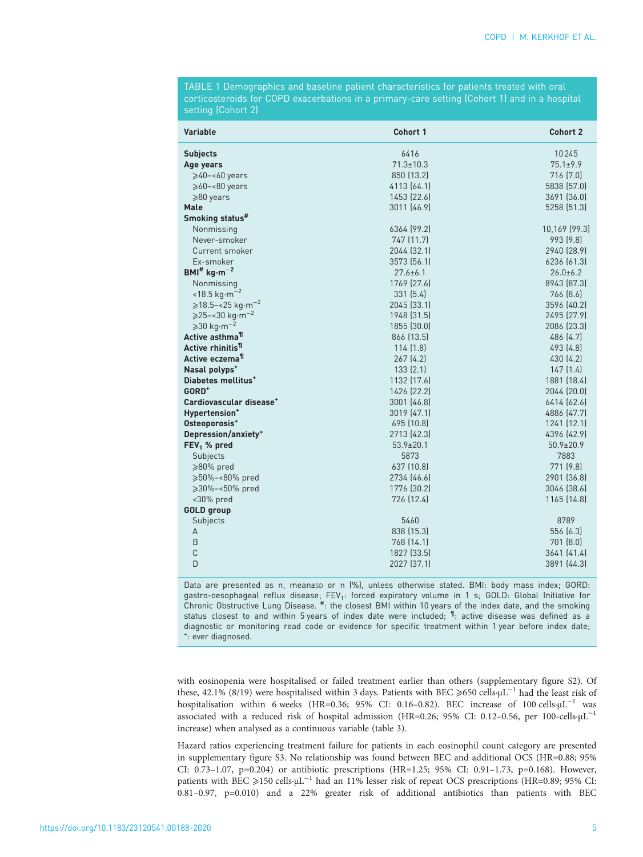<span id="page-4-0"></span>TABLE 1 Demographics and baseline patient characteristics for patients treated with oral corticosteroids for COPD exacerbations in a primary-care setting (Cohort 1) and in a hospital setting (Cohort 2)

| <b>Variable</b>                               | Cohort 1        | <b>Cohort 2</b> |
|-----------------------------------------------|-----------------|-----------------|
| <b>Subjects</b>                               | 6416            | 10245           |
| Age years                                     | $71.3 \pm 10.3$ | $75.1 \pm 9.9$  |
| $\geqslant$ 40-<60 years                      | 850 (13.2)      | 716 (7.0)       |
| $\geqslant$ 60-<80 years                      | 4113 (64.1)     | 5838 (57.0)     |
| $\geqslant$ 80 years                          | 1453 (22.6)     | 3691 (36.0)     |
| <b>Male</b>                                   | 3011 (46.9)     | 5258 (51.3)     |
| Smoking status#                               |                 |                 |
| Nonmissing                                    | 6364 (99.2)     | 10,169 (99.3)   |
| Never-smoker                                  | 747 (11.7)      | 993 [9.8]       |
| Current smoker                                | 2044 (32.1)     | 2940 (28.9)     |
| Ex-smoker                                     | 3573 (56.1)     | 6236 [61.3]     |
| $BMI^*$ kg·m <sup>-2</sup>                    | $27.6 \pm 6.1$  | $26.0 \pm 6.2$  |
| Nonmissing                                    | 1769 (27.6)     | 8943 (87.3)     |
| $<$ 18.5 kg·m <sup>-2</sup>                   | 331(5.4)        | 766 [8.6]       |
| $\ge$ 18.5–<25 kg⋅m <sup>-2</sup>             | 2045 (33.1)     | 3596 (40.2)     |
| $\geq 25 - 30 \text{ kg} \cdot \text{m}^{-2}$ | 1948 (31.5)     | 2495 (27.9)     |
| $\geqslant$ 30 kg·m <sup>-2</sup>             | 1855 (30.0)     | 2086 (23.3)     |
| Active asthma <sup>11</sup>                   | 866 (13.5)      | 486 (4.7)       |
| Active rhinitis <sup>11</sup>                 | 114(1.8)        | 493 (4.8)       |
| Active eczema <sup>11</sup>                   | 267(4.2)        | 430 (4.2)       |
| Nasal polyps <sup>+</sup>                     | 133(2.1)        | 147(1.4)        |
| Diabetes mellitus <sup>+</sup>                | 1132 (17.6)     | 1881 (18.4)     |
| GORD <sup>+</sup>                             | 1426 (22.2)     | 2044 (20.0)     |
| Cardiovascular disease <sup>+</sup>           | 3001 (46.8)     | 6414 (62.6)     |
| Hypertension <sup>+</sup>                     | 3019 (47.1)     | 4886 (47.7)     |
| Osteoporosis <sup>+</sup>                     | 695 (10.8)      | 1241(12.1)      |
| Depression/anxiety <sup>+</sup>               | 2713 (42.3)     | 4396 (42.9)     |
| $FEV1$ % pred                                 | $53.9 \pm 20.1$ | $50.9 \pm 20.9$ |
| Subjects                                      | 5873            | 7883            |
| $\geqslant$ 80% pred                          | 637 (10.8)      | 771 (9.8)       |
| ≥50%-<80% pred                                | 2734 (46.6)     | 2901 (36.8)     |
| ≥30%-<50% pred                                | 1776 (30.2)     | 3046 (38.6)     |
| <30% pred                                     | 726 (12.4)      | 1165 (14.8)     |
| <b>GOLD</b> group                             |                 |                 |
| Subjects                                      | 5460            | 8789            |
| А                                             | 838 (15.3)      | 556 (6.3)       |
| B                                             | 768 (14.1)      | 701(8.0)        |
| $\mathsf{C}$                                  | 1827 (33.5)     | 3641 (41.4)     |
| D                                             | 2027 (37.1)     | 3891 (44.3)     |

Data are presented as n, mean±sp or n (%), unless otherwise stated. BMI: body mass index; GORD: gastro-oesophageal reflux disease; FEV<sub>1</sub>: forced expiratory volume in 1 s; GOLD: Global Initiative for Chronic Obstructive Lung Disease. <sup>#</sup>: the closest BMI within 10 years of the index date, and the smoking status closest to and within 5 years of index date were included;  $\mathbb{I}$ : active disease was defined as a diagnostic or monitoring read code or evidence for specific treatment within 1 year before index date; + : ever diagnosed.

with eosinopenia were hospitalised or failed treatment earlier than others (supplementary [figure S2\)](http://openres.ersjournals.com/lookup/doi/10.1183/23120541.00188-2020.figures-only#fig-data-supplementary-materials). Of these, 42.1% (8/19) were hospitalised within 3 days. Patients with BEC ⩾650 cells·µL−<sup>1</sup> had the least risk of hospitalisation within 6 weeks (HR=0.36; 95% CI: 0.16–0.82). BEC increase of 100 cells·µL−<sup>1</sup> was associated with a reduced risk of hospital admission (HR=0.26; 95% CI: 0.12–0.56, per 100-cells·µL−<sup>1</sup> increase) when analysed as a continuous variable ([table 3\)](#page-6-0).

Hazard ratios experiencing treatment failure for patients in each eosinophil count category are presented in supplementary [figure S3.](http://openres.ersjournals.com/lookup/doi/10.1183/23120541.00188-2020.figures-only#fig-data-supplementary-materials) No relationship was found between BEC and additional OCS (HR=0.88; 95% CI: 0.73–1.07, p=0.204) or antibiotic prescriptions (HR=1.25; 95% CI: 0.91–1.73, p=0.168). However, patients with BEC ≥150 cells<sub><sup>·µL</sub><sup>-1</sup> had an 11% lesser risk of repeat OCS prescriptions (HR=0.89; 95% CI:</sub></sup> 0.81–0.97, p=0.010) and a 22% greater risk of additional antibiotics than patients with BEC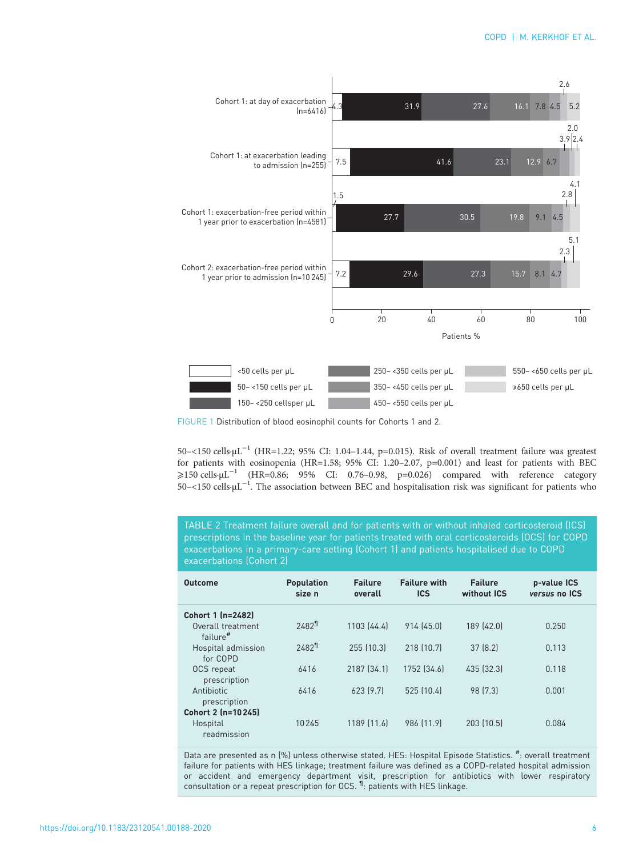<span id="page-5-0"></span>

FIGURE 1 Distribution of blood eosinophil counts for Cohorts 1 and 2.

50–<150 cells·µL−<sup>1</sup> (HR=1.22; 95% CI: 1.04–1.44, p=0.015). Risk of overall treatment failure was greatest for patients with eosinopenia (HR=1.58; 95% CI: 1.20–2.07, p=0.001) and least for patients with BEC  $≥150$  cells·μL<sup>-1</sup> (HR=0.86; 95% CI: 0.76-0.98, p=0.026) compared with reference category 50–<150 cells·µL−<sup>1</sup> . The association between BEC and hospitalisation risk was significant for patients who

TABLE 2 Treatment failure overall and for patients with or without inhaled corticosteroid (ICS) prescriptions in the baseline year for patients treated with oral corticosteroids (OCS) for COPD exacerbations in a primary-care setting (Cohort 1) and patients hospitalised due to COPD exacerbations (Cohort 2)

| <b>Outcome</b>                      | <b>Population</b><br>size n | <b>Failure</b><br>overall | <b>Failure with</b><br><b>ICS</b> | <b>Failure</b><br>without ICS | p-value ICS<br>versus no ICS |
|-------------------------------------|-----------------------------|---------------------------|-----------------------------------|-------------------------------|------------------------------|
| Cohort 1 (n=2482)                   |                             |                           |                                   |                               |                              |
| Overall treatment<br>$f$ ailure $#$ | $2482$ <sup>1</sup>         | 1103 (44.4)               | 914 (45.0)                        | 189 (42.0)                    | 0.250                        |
| Hospital admission<br>for COPD      | $2482$ <sup>1</sup>         | 255 (10.3)                | 218 (10.7)                        | 37[8.2]                       | 0.113                        |
| OCS repeat<br>prescription          | 6416                        | 2187 (34.1)               | 1752 (34.6)                       | 435 (32.3)                    | 0.118                        |
| Antibiotic<br>prescription          | 6416                        | 623 [9.7]                 | 525 (10.4)                        | 98 [7.3]                      | 0.001                        |
| Cohort 2 (n=10245)                  |                             |                           |                                   |                               |                              |
| Hospital<br>readmission             | 10245                       | 1189 [11.6]               | 986 [11.9]                        | 203 (10.5)                    | 0.084                        |

Data are presented as n (%) unless otherwise stated. HES: Hospital Episode Statistics. #: overall treatment failure for patients with HES linkage; treatment failure was defined as a COPD-related hospital admission or accident and emergency department visit, prescription for antibiotics with lower respiratory consultation or a repeat prescription for OCS. <sup>1</sup> patients with HES linkage.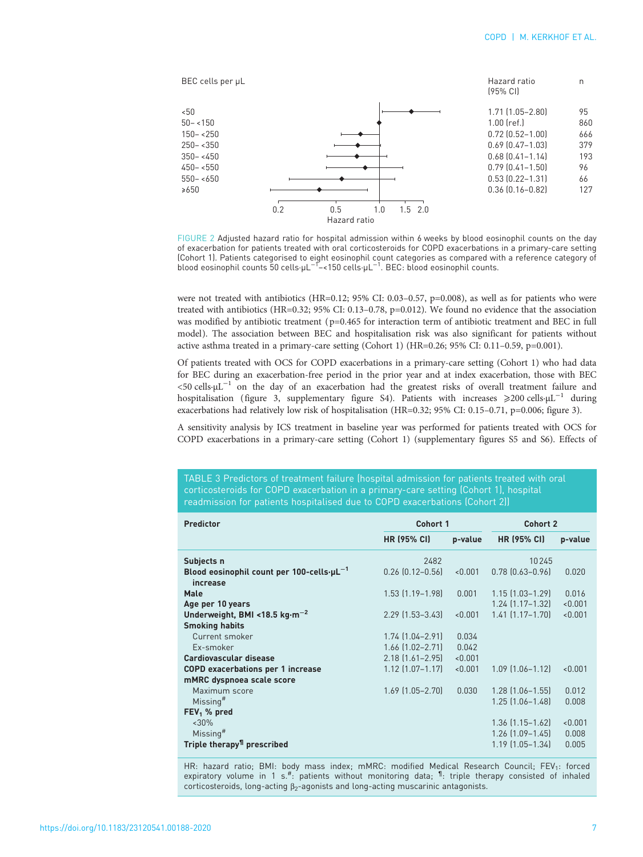<span id="page-6-0"></span>

FIGURE 2 Adjusted hazard ratio for hospital admission within 6 weeks by blood eosinophil counts on the day of exacerbation for patients treated with oral corticosteroids for COPD exacerbations in a primary-care setting (Cohort 1). Patients categorised to eight eosinophil count categories as compared with a reference category of<br>blood eosinophil counts 50 cells·µL<sup>−1</sup>−<150 cells·µL<sup>−1</sup>. BEC: blood eosinophil counts.

were not treated with antibiotics (HR=0.12; 95% CI: 0.03-0.57, p=0.008), as well as for patients who were treated with antibiotics (HR=0.32; 95% CI: 0.13–0.78, p=0.012). We found no evidence that the association was modified by antibiotic treatment (p=0.465 for interaction term of antibiotic treatment and BEC in full model). The association between BEC and hospitalisation risk was also significant for patients without active asthma treated in a primary-care setting (Cohort 1) (HR=0.26; 95% CI: 0.11–0.59, p=0.001).

Of patients treated with OCS for COPD exacerbations in a primary-care setting (Cohort 1) who had data for BEC during an exacerbation-free period in the prior year and at index exacerbation, those with BEC  $<$ 50 cells⋅µL<sup>-1</sup> on the day of an exacerbation had the greatest risks of overall treatment failure and hospitalisation ([figure 3,](#page-7-0) supplementary [figure S4\)](http://openres.ersjournals.com/lookup/doi/10.1183/23120541.00188-2020.figures-only#fig-data-supplementary-materials). Patients with increases ⩾200 cells·µL−<sup>1</sup> during exacerbations had relatively low risk of hospitalisation (HR=0.32; 95% CI: 0.15–0.71, p=0.006; [figure 3](#page-7-0)).

A sensitivity analysis by ICS treatment in baseline year was performed for patients treated with OCS for COPD exacerbations in a primary-care setting (Cohort 1) (supplementary [figures S5 and S6](http://openres.ersjournals.com/lookup/doi/10.1183/23120541.00188-2020.figures-only#fig-data-supplementary-materials)). Effects of

TABLE 3 Predictors of treatment failure (hospital admission for patients treated with oral corticosteroids for COPD exacerbation in a primary-care setting (Cohort 1), hospital readmission for patients hospitalised due to COPD exacerbations (Cohort 2))

| <b>Predictor</b>                                                  | Cohort 1               |         | Cohort 2                                         |                    |
|-------------------------------------------------------------------|------------------------|---------|--------------------------------------------------|--------------------|
|                                                                   | <b>HR (95% CI)</b>     | p-value | <b>HR (95% CI)</b>                               | p-value            |
| Subjects n                                                        | 2482                   |         | 10245                                            |                    |
| Blood eosinophil count per 100-cells- $\mu$ L $^{-1}$<br>increase | $0.26$ $[0.12 - 0.56]$ | < 0.001 | $0.78$ $[0.63 - 0.96]$                           | 0.020              |
| Male                                                              | $1.53$ $(1.19 - 1.98)$ | 0.001   | $1.15$ $(1.03 - 1.29)$                           | 0.016              |
| Age per 10 years<br>Underweight, BMI <18.5 $kg·m^{-2}$            | $2.29$ [1.53-3.43]     | < 0.001 | $1.24$ $(1.17 - 1.32)$<br>$1.41$ $(1.17 - 1.70)$ | < 0.001<br>< 0.001 |
| <b>Smoking habits</b>                                             |                        |         |                                                  |                    |
| Current smoker                                                    | $1.74$ $(1.04 - 2.91)$ | 0.034   |                                                  |                    |
| Ex-smoker                                                         | $1.66$ $[1.02 - 2.71]$ | 0.042   |                                                  |                    |
| Cardiovascular disease                                            | $2.18$ $(1.61 - 2.95)$ | < 0.001 |                                                  |                    |
| <b>COPD exacerbations per 1 increase</b>                          | $1.12$ $(1.07 - 1.17)$ | < 0.001 | $1.09$ $(1.06 - 1.12)$                           | < 0.001            |
| mMRC dyspnoea scale score                                         |                        |         |                                                  |                    |
| Maximum score                                                     | $1.69$ $(1.05 - 2.70)$ | 0.030   | $1.28$ $(1.06 - 1.55)$                           | 0.012              |
| Missing <sup>#</sup>                                              |                        |         | $1.25$ $(1.06 - 1.48)$                           | 0.008              |
| $FEV1$ % pred                                                     |                        |         |                                                  |                    |
| $~30\%$                                                           |                        |         | $1.36$ $(1.15 - 1.62)$                           | < 0.001            |
| Missing <sup>#</sup>                                              |                        |         | $1.26$ $(1.09 - 1.45)$                           | 0.008              |
| Triple therapy <sup>11</sup> prescribed                           |                        |         | $1.19$ $(1.05 - 1.34)$                           | 0.005              |

HR: hazard ratio; BMI: body mass index; mMRC: modified Medical Research Council; FEV<sub>1</sub>: forced expiratory volume in 1 s.<sup>#</sup>: patients without monitoring data; <sup>1</sup>: triple therapy consisted of inhaled corticosteroids, long-acting  $\beta_2$ -agonists and long-acting muscarinic antagonists.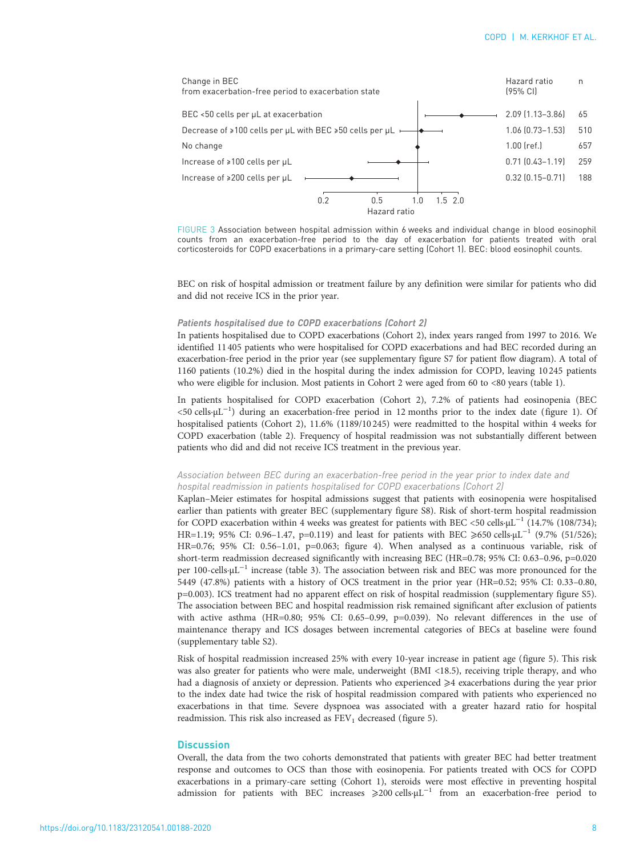<span id="page-7-0"></span>

FIGURE 3 Association between hospital admission within 6 weeks and individual change in blood eosinophil counts from an exacerbation-free period to the day of exacerbation for patients treated with oral corticosteroids for COPD exacerbations in a primary-care setting (Cohort 1). BEC: blood eosinophil counts.

BEC on risk of hospital admission or treatment failure by any definition were similar for patients who did and did not receive ICS in the prior year.

## Patients hospitalised due to COPD exacerbations (Cohort 2)

In patients hospitalised due to COPD exacerbations (Cohort 2), index years ranged from 1997 to 2016. We identified 11405 patients who were hospitalised for COPD exacerbations and had BEC recorded during an exacerbation-free period in the prior year (see supplementary [figure S7](http://openres.ersjournals.com/lookup/doi/10.1183/23120541.00188-2020.figures-only#fig-data-supplementary-materials) for patient flow diagram). A total of 1160 patients (10.2%) died in the hospital during the index admission for COPD, leaving 10245 patients who were eligible for inclusion. Most patients in Cohort 2 were aged from 60 to <80 years [\(table 1](#page-4-0)).

In patients hospitalised for COPD exacerbation (Cohort 2), 7.2% of patients had eosinopenia (BEC <50 cells·µL−<sup>1</sup> ) during an exacerbation-free period in 12 months prior to the index date ([figure 1](#page-5-0)). Of hospitalised patients (Cohort 2), 11.6% (1189/10 245) were readmitted to the hospital within 4 weeks for COPD exacerbation ([table 2\)](#page-5-0). Frequency of hospital readmission was not substantially different between patients who did and did not receive ICS treatment in the previous year.

# Association between BEC during an exacerbation-free period in the year prior to index date and hospital readmission in patients hospitalised for COPD exacerbations (Cohort 2)

Kaplan–Meier estimates for hospital admissions suggest that patients with eosinopenia were hospitalised earlier than patients with greater BEC (supplementary [figure S8\)](http://openres.ersjournals.com/lookup/doi/10.1183/23120541.00188-2020.figures-only#fig-data-supplementary-materials). Risk of short-term hospital readmission for COPD exacerbation within 4 weeks was greatest for patients with BEC <50 cells⋅µL<sup>-1</sup> (14.7% (108/734); HR=1.19; 95% CI: 0.96–1.47, p=0.119) and least for patients with BEC ≥650 cells⋅µL<sup>-1</sup> (9.7% (51/526); HR=0.76; 95% CI: 0.56–1.01, p=0.063; [figure 4\)](#page-8-0). When analysed as a continuous variable, risk of short-term readmission decreased significantly with increasing BEC (HR=0.78; 95% CI: 0.63–0.96, p=0.020 per 100-cells·µL−<sup>1</sup> increase ([table 3](#page-6-0)). The association between risk and BEC was more pronounced for the 5449 (47.8%) patients with a history of OCS treatment in the prior year (HR=0.52; 95% CI: 0.33–0.80, p=0.003). ICS treatment had no apparent effect on risk of hospital readmission (supplementary [figure S5\)](http://openres.ersjournals.com/lookup/doi/10.1183/23120541.00188-2020.figures-only#fig-data-supplementary-materials). The association between BEC and hospital readmission risk remained significant after exclusion of patients with active asthma (HR=0.80; 95% CI: 0.65-0.99, p=0.039). No relevant differences in the use of maintenance therapy and ICS dosages between incremental categories of BECs at baseline were found (supplementary [table S2\)](http://openres.ersjournals.com/lookup/doi/10.1183/23120541.00188-2020.figures-only#fig-data-supplementary-materials).

Risk of hospital readmission increased 25% with every 10-year increase in patient age ([figure 5](#page-8-0)). This risk was also greater for patients who were male, underweight (BMI <18.5), receiving triple therapy, and who had a diagnosis of anxiety or depression. Patients who experienced  $\geq 4$  exacerbations during the year prior to the index date had twice the risk of hospital readmission compared with patients who experienced no exacerbations in that time. Severe dyspnoea was associated with a greater hazard ratio for hospital readmission. This risk also increased as  $FEV<sub>1</sub>$  decreased [\(figure 5](#page-8-0)).

#### **Discussion**

Overall, the data from the two cohorts demonstrated that patients with greater BEC had better treatment response and outcomes to OCS than those with eosinopenia. For patients treated with OCS for COPD exacerbations in a primary-care setting (Cohort 1), steroids were most effective in preventing hospital admission for patients with BEC increases  $\geq 200$  cells⋅µL<sup>-1</sup> from an exacerbation-free period to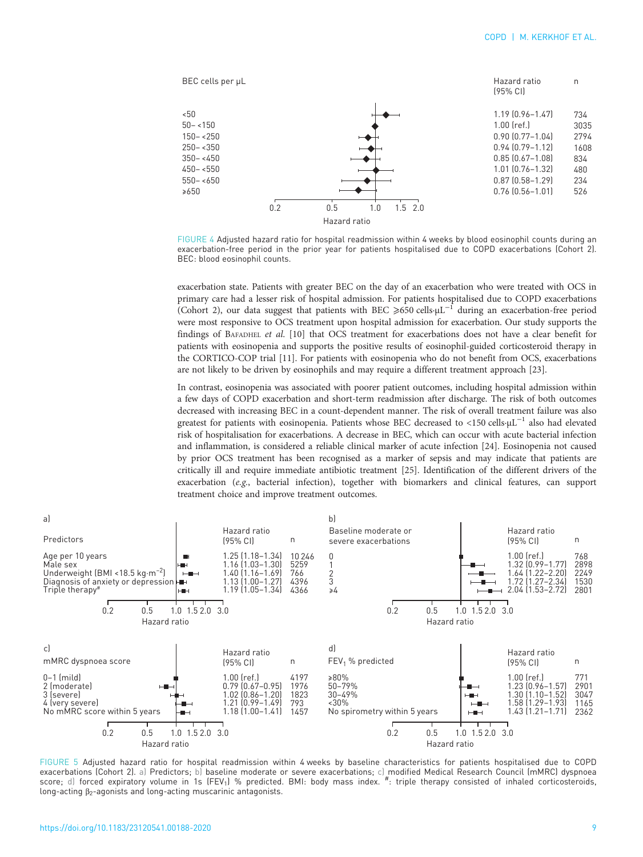<span id="page-8-0"></span>

FIGURE 4 Adjusted hazard ratio for hospital readmission within 4 weeks by blood eosinophil counts during an exacerbation-free period in the prior year for patients hospitalised due to COPD exacerbations (Cohort 2). BEC: blood eosinophil counts.

exacerbation state. Patients with greater BEC on the day of an exacerbation who were treated with OCS in primary care had a lesser risk of hospital admission. For patients hospitalised due to COPD exacerbations (Cohort 2), our data suggest that patients with BEC ≥650 cells⋅μL<sup>-1</sup> during an exacerbation-free period were most responsive to OCS treatment upon hospital admission for exacerbation. Our study supports the findings of BAFADHEL et al. [\[10\]](#page-10-0) that OCS treatment for exacerbations does not have a clear benefit for patients with eosinopenia and supports the positive results of eosinophil-guided corticosteroid therapy in the CORTICO-COP trial [[11](#page-10-0)]. For patients with eosinopenia who do not benefit from OCS, exacerbations are not likely to be driven by eosinophils and may require a different treatment approach [\[23\]](#page-10-0).

In contrast, eosinopenia was associated with poorer patient outcomes, including hospital admission within a few days of COPD exacerbation and short-term readmission after discharge. The risk of both outcomes decreased with increasing BEC in a count-dependent manner. The risk of overall treatment failure was also greatest for patients with eosinopenia. Patients whose BEC decreased to <150 cells⋅µL<sup>-1</sup> also had elevated risk of hospitalisation for exacerbations. A decrease in BEC, which can occur with acute bacterial infection and inflammation, is considered a reliable clinical marker of acute infection [\[24\]](#page-10-0). Eosinopenia not caused by prior OCS treatment has been recognised as a marker of sepsis and may indicate that patients are critically ill and require immediate antibiotic treatment [[25\]](#page-10-0). Identification of the different drivers of the exacerbation (e.g., bacterial infection), together with biomarkers and clinical features, can support treatment choice and improve treatment outcomes.



FIGURE 5 Adjusted hazard ratio for hospital readmission within 4 weeks by baseline characteristics for patients hospitalised due to COPD exacerbations (Cohort 2). a) Predictors; b) baseline moderate or severe exacerbations; c) modified Medical Research Council (mMRC) dyspnoea score; d) forced expiratory volume in 1s (FEV<sub>1</sub>) % predicted. BMI: body mass index.  $\overset{\#}\,$ : triple therapy consisted of inhaled corticosteroids, long-acting  $β_2$ -agonists and long-acting muscarinic antagonists.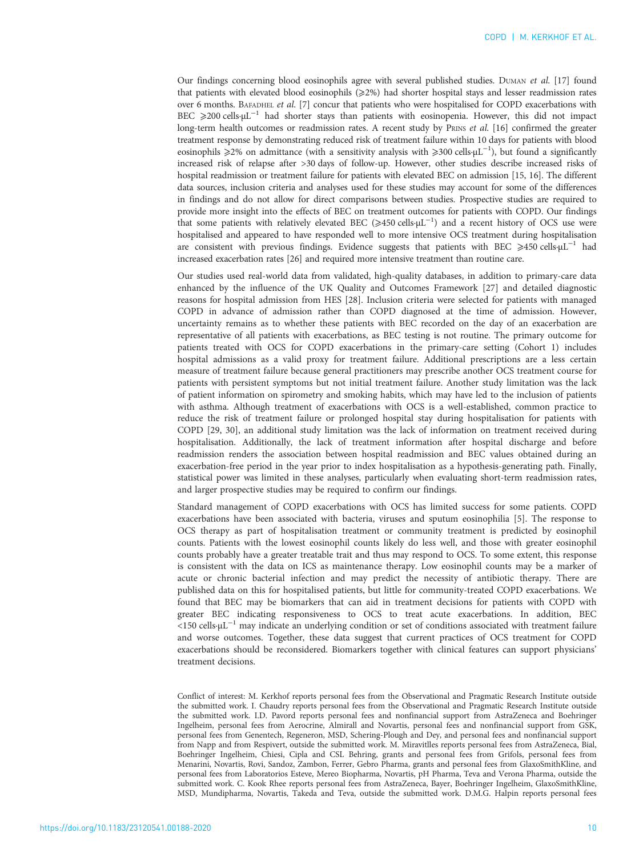Our findings concerning blood eosinophils agree with several published studies. DUMAN et al. [\[17\]](#page-10-0) found that patients with elevated blood eosinophils (≥2%) had shorter hospital stays and lesser readmission rates over 6 months. BAFADHEL et al. [\[7](#page-10-0)] concur that patients who were hospitalised for COPD exacerbations with BEC ≥200 cells·µL<sup>-1</sup> had shorter stays than patients with eosinopenia. However, this did not impact long-term health outcomes or readmission rates. A recent study by PRINS et al. [\[16\]](#page-10-0) confirmed the greater treatment response by demonstrating reduced risk of treatment failure within 10 days for patients with blood eosinophils ≥2% on admittance (with a sensitivity analysis with ≥300 cells·µL<sup>-1</sup>), but found a significantly increased risk of relapse after >30 days of follow-up. However, other studies describe increased risks of hospital readmission or treatment failure for patients with elevated BEC on admission [\[15, 16\]](#page-10-0). The different data sources, inclusion criteria and analyses used for these studies may account for some of the differences in findings and do not allow for direct comparisons between studies. Prospective studies are required to provide more insight into the effects of BEC on treatment outcomes for patients with COPD. Our findings that some patients with relatively elevated BEC (≥450 cells⋅μL<sup>-1</sup>) and a recent history of OCS use were hospitalised and appeared to have responded well to more intensive OCS treatment during hospitalisation are consistent with previous findings. Evidence suggests that patients with BEC  $\geq 450$  cells⋅µL<sup>-1</sup> had increased exacerbation rates [[26](#page-11-0)] and required more intensive treatment than routine care.

Our studies used real-world data from validated, high-quality databases, in addition to primary-care data enhanced by the influence of the UK Quality and Outcomes Framework [\[27\]](#page-11-0) and detailed diagnostic reasons for hospital admission from HES [[28](#page-11-0)]. Inclusion criteria were selected for patients with managed COPD in advance of admission rather than COPD diagnosed at the time of admission. However, uncertainty remains as to whether these patients with BEC recorded on the day of an exacerbation are representative of all patients with exacerbations, as BEC testing is not routine. The primary outcome for patients treated with OCS for COPD exacerbations in the primary-care setting (Cohort 1) includes hospital admissions as a valid proxy for treatment failure. Additional prescriptions are a less certain measure of treatment failure because general practitioners may prescribe another OCS treatment course for patients with persistent symptoms but not initial treatment failure. Another study limitation was the lack of patient information on spirometry and smoking habits, which may have led to the inclusion of patients with asthma. Although treatment of exacerbations with OCS is a well-established, common practice to reduce the risk of treatment failure or prolonged hospital stay during hospitalisation for patients with COPD [[29, 30\]](#page-11-0), an additional study limitation was the lack of information on treatment received during hospitalisation. Additionally, the lack of treatment information after hospital discharge and before readmission renders the association between hospital readmission and BEC values obtained during an exacerbation-free period in the year prior to index hospitalisation as a hypothesis-generating path. Finally, statistical power was limited in these analyses, particularly when evaluating short-term readmission rates, and larger prospective studies may be required to confirm our findings.

Standard management of COPD exacerbations with OCS has limited success for some patients. COPD exacerbations have been associated with bacteria, viruses and sputum eosinophilia [\[5](#page-10-0)]. The response to OCS therapy as part of hospitalisation treatment or community treatment is predicted by eosinophil counts. Patients with the lowest eosinophil counts likely do less well, and those with greater eosinophil counts probably have a greater treatable trait and thus may respond to OCS. To some extent, this response is consistent with the data on ICS as maintenance therapy. Low eosinophil counts may be a marker of acute or chronic bacterial infection and may predict the necessity of antibiotic therapy. There are published data on this for hospitalised patients, but little for community-treated COPD exacerbations. We found that BEC may be biomarkers that can aid in treatment decisions for patients with COPD with greater BEC indicating responsiveness to OCS to treat acute exacerbations. In addition, BEC <150 cells·µL−<sup>1</sup> may indicate an underlying condition or set of conditions associated with treatment failure and worse outcomes. Together, these data suggest that current practices of OCS treatment for COPD exacerbations should be reconsidered. Biomarkers together with clinical features can support physicians' treatment decisions.

Conflict of interest: M. Kerkhof reports personal fees from the Observational and Pragmatic Research Institute outside the submitted work. I. Chaudry reports personal fees from the Observational and Pragmatic Research Institute outside the submitted work. I.D. Pavord reports personal fees and nonfinancial support from AstraZeneca and Boehringer Ingelheim, personal fees from Aerocrine, Almirall and Novartis, personal fees and nonfinancial support from GSK, personal fees from Genentech, Regeneron, MSD, Schering-Plough and Dey, and personal fees and nonfinancial support from Napp and from Respivert, outside the submitted work. M. Miravitlles reports personal fees from AstraZeneca, Bial, Boehringer Ingelheim, Chiesi, Cipla and CSL Behring, grants and personal fees from Grifols, personal fees from Menarini, Novartis, Rovi, Sandoz, Zambon, Ferrer, Gebro Pharma, grants and personal fees from GlaxoSmithKline, and personal fees from Laboratorios Esteve, Mereo Biopharma, Novartis, pH Pharma, Teva and Verona Pharma, outside the submitted work. C. Kook Rhee reports personal fees from AstraZeneca, Bayer, Boehringer Ingelheim, GlaxoSmithKline, MSD, Mundipharma, Novartis, Takeda and Teva, outside the submitted work. D.M.G. Halpin reports personal fees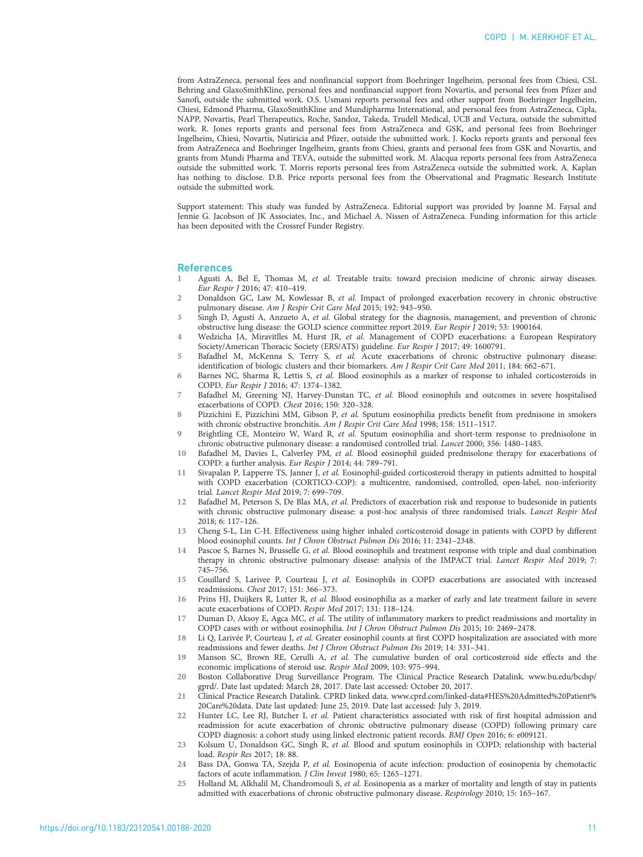<span id="page-10-0"></span>from AstraZeneca, personal fees and nonfinancial support from Boehringer Ingelheim, personal fees from Chiesi, CSL Behring and GlaxoSmithKline, personal fees and nonfinancial support from Novartis, and personal fees from Pfizer and Sanofi, outside the submitted work. O.S. Usmani reports personal fees and other support from Boehringer Ingelheim, Chiesi, Edmond Pharma, GlaxoSmithKline and Mundipharma International, and personal fees from AstraZeneca, Cipla, NAPP, Novartis, Pearl Therapeutics, Roche, Sandoz, Takeda, Trudell Medical, UCB and Vectura, outside the submitted work. R. Jones reports grants and personal fees from AstraZeneca and GSK, and personal fees from Boehringer Ingelheim, Chiesi, Novartis, Nutiricia and Pfizer, outside the submitted work. J. Kocks reports grants and personal fees from AstraZeneca and Boehringer Ingelheim, grants from Chiesi, grants and personal fees from GSK and Novartis, and grants from Mundi Pharma and TEVA, outside the submitted work. M. Alacqua reports personal fees from AstraZeneca outside the submitted work. T. Morris reports personal fees from AstraZeneca outside the submitted work. A. Kaplan has nothing to disclose. D.B. Price reports personal fees from the Observational and Pragmatic Research Institute outside the submitted work.

Support statement: This study was funded by AstraZeneca. Editorial support was provided by Joanne M. Faysal and Jennie G. Jacobson of JK Associates, Inc., and Michael A. Nissen of AstraZeneca. Funding information for this article has been deposited with the [Crossref Funder Registry.](https://www.crossref.org/services/funder-registry/)

#### References

- Agusti A, Bel E, Thomas M, et al. Treatable traits: toward precision medicine of chronic airway diseases. Eur Respir J 2016; 47: 410–419.
- 2 Donaldson GC, Law M, Kowlessar B, et al. Impact of prolonged exacerbation recovery in chronic obstructive pulmonary disease. Am J Respir Crit Care Med 2015; 192: 943–950.
- 3 Singh D, Agusti A, Anzueto A, et al. Global strategy for the diagnosis, management, and prevention of chronic obstructive lung disease: the GOLD science committee report 2019. Eur Respir J 2019; 53: 1900164.
- Wedzicha JA, Miravitlles M, Hurst JR, et al. Management of COPD exacerbations: a European Respiratory Society/American Thoracic Society (ERS/ATS) guideline. Eur Respir J 2017; 49: 1600791.
- 5 Bafadhel M, McKenna S, Terry S, et al. Acute exacerbations of chronic obstructive pulmonary disease: identification of biologic clusters and their biomarkers. Am J Respir Crit Care Med 2011; 184: 662–671.
- 6 Barnes NC, Sharma R, Lettis S, et al. Blood eosinophils as a marker of response to inhaled corticosteroids in COPD. Eur Respir J 2016; 47: 1374–1382.
- Bafadhel M, Greening NJ, Harvey-Dunstan TC, et al. Blood eosinophils and outcomes in severe hospitalised exacerbations of COPD. Chest 2016; 150: 320–328.
- 8 Pizzichini E, Pizzichini MM, Gibson P, et al. Sputum eosinophilia predicts benefit from prednisone in smokers with chronic obstructive bronchitis. Am J Respir Crit Care Med 1998; 158: 1511–1517.
- 9 Brightling CE, Monteiro W, Ward R, et al. Sputum eosinophilia and short-term response to prednisolone in chronic obstructive pulmonary disease: a randomised controlled trial. Lancet 2000; 356: 1480–1485.
- 10 Bafadhel M, Davies L, Calverley PM, et al. Blood eosinophil guided prednisolone therapy for exacerbations of COPD: a further analysis. Eur Respir J 2014; 44: 789–791.
- 11 Sivapalan P, Lapperre TS, Janner J, et al. Eosinophil-guided corticosteroid therapy in patients admitted to hospital with COPD exacerbation (CORTICO-COP): a multicentre, randomised, controlled, open-label, non-inferiority trial. Lancet Respir Med 2019; 7: 699–709.
- 12 Bafadhel M, Peterson S, De Blas MA, et al. Predictors of exacerbation risk and response to budesonide in patients with chronic obstructive pulmonary disease: a post-hoc analysis of three randomised trials. Lancet Respir Med 2018; 6: 117–126.
- 13 Cheng S-L, Lin C-H. Effectiveness using higher inhaled corticosteroid dosage in patients with COPD by different blood eosinophil counts. Int J Chron Obstruct Pulmon Dis 2016; 11: 2341–2348.
- 14 Pascoe S, Barnes N, Brusselle G, et al. Blood eosinophils and treatment response with triple and dual combination therapy in chronic obstructive pulmonary disease: analysis of the IMPACT trial. Lancet Respir Med 2019; 7: 745–756.
- 15 Couillard S, Larivee P, Courteau J, et al. Eosinophils in COPD exacerbations are associated with increased readmissions. Chest 2017; 151: 366–373.
- 16 Prins HJ, Duijkers R, Lutter R, et al. Blood eosinophilia as a marker of early and late treatment failure in severe acute exacerbations of COPD. Respir Med 2017; 131: 118–124.
- 17 Duman D, Aksoy E, Agca MC, et al. The utility of inflammatory markers to predict readmissions and mortality in COPD cases with or without eosinophilia. Int J Chron Obstruct Pulmon Dis 2015; 10: 2469–2478.
- 18 Li Q, Larivée P, Courteau J, et al. Greater eosinophil counts at first COPD hospitalization are associated with more readmissions and fewer deaths. Int J Chron Obstruct Pulmon Dis 2019; 14: 331–341.
- 19 Manson SC, Brown RE, Cerulli A, et al. The cumulative burden of oral corticosteroid side effects and the economic implications of steroid use. Respir Med 2009; 103: 975–994.
- 20 Boston Collaborative Drug Surveillance Program. The Clinical Practice Research Datalink. [www.bu.edu/bcdsp/](https://dx.doi.org/www.bu.edu/bcdsp/gprd/) [gprd/.](https://dx.doi.org/www.bu.edu/bcdsp/gprd/) Date last updated: March 28, 2017. Date last accessed: October 20, 2017.
- 21 Clinical Practice Research Datalink. CPRD linked data. [www.cprd.com/linked-data#HES%20Admitted%20Patient%](http://www.cprd.com/linked-data#HES%20Admitted%20Patient%20Care%20data) [20Care%20data.](http://www.cprd.com/linked-data#HES%20Admitted%20Patient%20Care%20data) Date last updated: June 25, 2019. Date last accessed: July 3, 2019.
- 22 Hunter LC, Lee RJ, Butcher I, et al. Patient characteristics associated with risk of first hospital admission and readmission for acute exacerbation of chronic obstructive pulmonary disease (COPD) following primary care COPD diagnosis: a cohort study using linked electronic patient records. BMJ Open 2016; 6: e009121.
- 23 Kolsum U, Donaldson GC, Singh R, et al. Blood and sputum eosinophils in COPD; relationship with bacterial load. Respir Res 2017; 18: 88.
- 24 Bass DA, Gonwa TA, Szejda P, et al. Eosinopenia of acute infection: production of eosinopenia by chemotactic factors of acute inflammation. J Clin Invest 1980; 65: 1265–1271.
- 25 Holland M, Alkhalil M, Chandromouli S, et al. Eosinopenia as a marker of mortality and length of stay in patients admitted with exacerbations of chronic obstructive pulmonary disease. Respirology 2010; 15: 165–167.